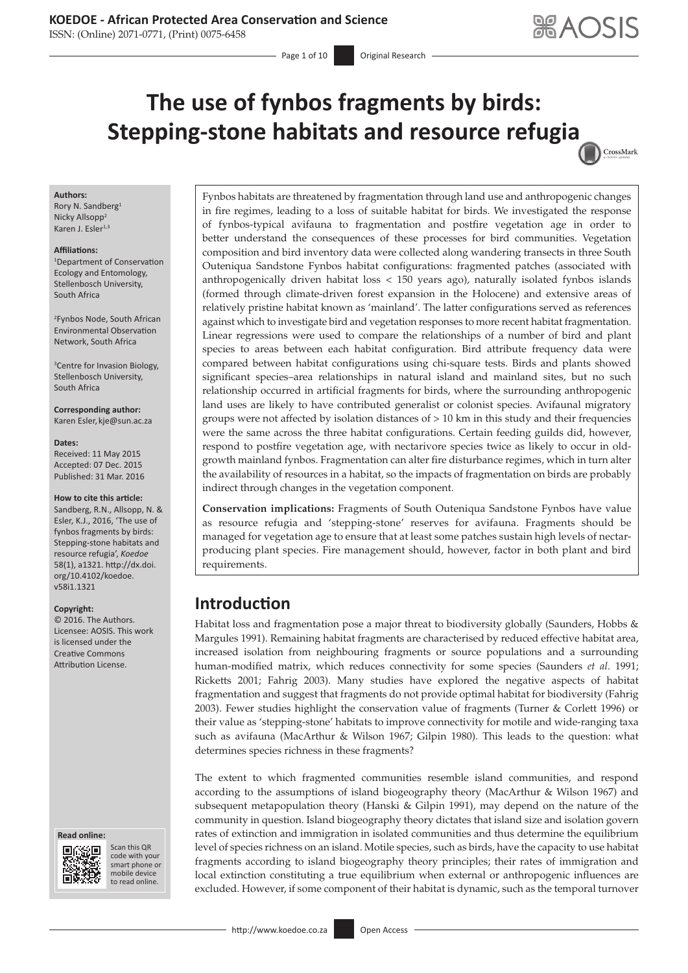ISSN: (Online) 2071-0771, (Print) 0075-6458

Page 1 of 10 **Original Research** 

CrossMark

# **The use of fynbos fragments by birds: Stepping-stone habitats and resource refugi[a](http://crossmark.crossref.org/dialog/?doi=10.4102/koedoe.v58i1.1321=pdf&date_stamp=2016-03-31)**

#### **Authors:**

Rory N. Sandberg<sup>1</sup> Nicky Allsopp<sup>2</sup> Karen J. Esler<sup>1,3</sup>

#### **Affiliations:**

1 Department of Conservation Ecology and Entomology, Stellenbosch University, South Africa

2 Fynbos Node, South African Environmental Observation Network, South Africa

<sup>3</sup> Centre for Invasion Biology, Stellenbosch University, South Africa

**Corresponding author:** Karen Esler, [kje@sun.ac.za](mailto:kje@sun.ac.za)

#### **Dates:**

Received: 11 May 2015 Accepted: 07 Dec. 2015 Published: 31 Mar. 2016

#### **How to cite this article:**

Sandberg, R.N., Allsopp, N. & Esler, K.J., 2016, 'The use of fynbos fragments by birds: Stepping-stone habitats and resource refugia', *Koedoe*  58(1), a1321. [http://dx.doi.](http://dx.doi.org/10.4102/koedoe.v58i1.1321) [org/10.4102/koedoe.](http://dx.doi.org/10.4102/koedoe.v58i1.1321) [v58i1.1321](http://dx.doi.org/10.4102/koedoe.v58i1.1321)

#### **Copyright:**

© 2016. The Authors. Licensee: AOSIS. This work is licensed under the Creative Commons Attribution License.

#### **Read online: Read**



Scan this QR code with your Scan this QR<br>code with your<br>smart phone or<br>mobile device mobile device to read online. to read online.

Fynbos habitats are threatened by fragmentation through land use and anthropogenic changes in fire regimes, leading to a loss of suitable habitat for birds. We investigated the response of fynbos-typical avifauna to fragmentation and postfire vegetation age in order to better understand the consequences of these processes for bird communities. Vegetation composition and bird inventory data were collected along wandering transects in three South Outeniqua Sandstone Fynbos habitat configurations: fragmented patches (associated with anthropogenically driven habitat loss < 150 years ago), naturally isolated fynbos islands (formed through climate-driven forest expansion in the Holocene) and extensive areas of relatively pristine habitat known as 'mainland'. The latter configurations served as references against which to investigate bird and vegetation responses to more recent habitat fragmentation. Linear regressions were used to compare the relationships of a number of bird and plant species to areas between each habitat configuration. Bird attribute frequency data were compared between habitat configurations using chi-square tests. Birds and plants showed significant species–area relationships in natural island and mainland sites, but no such relationship occurred in artificial fragments for birds, where the surrounding anthropogenic land uses are likely to have contributed generalist or colonist species. Avifaunal migratory groups were not affected by isolation distances of  $> 10$  km in this study and their frequencies were the same across the three habitat configurations. Certain feeding guilds did, however, respond to postfire vegetation age, with nectarivore species twice as likely to occur in oldgrowth mainland fynbos. Fragmentation can alter fire disturbance regimes, which in turn alter the availability of resources in a habitat, so the impacts of fragmentation on birds are probably indirect through changes in the vegetation component.

**Conservation implications:** Fragments of South Outeniqua Sandstone Fynbos have value as resource refugia and 'stepping-stone' reserves for avifauna. Fragments should be managed for vegetation age to ensure that at least some patches sustain high levels of nectarproducing plant species. Fire management should, however, factor in both plant and bird requirements.

# **Introduction**

Habitat loss and fragmentation pose a major threat to biodiversity globally (Saunders, Hobbs & Margules 1991). Remaining habitat fragments are characterised by reduced effective habitat area, increased isolation from neighbouring fragments or source populations and a surrounding human-modified matrix, which reduces connectivity for some species (Saunders *et al*. 1991; Ricketts 2001; Fahrig 2003). Many studies have explored the negative aspects of habitat fragmentation and suggest that fragments do not provide optimal habitat for biodiversity (Fahrig 2003). Fewer studies highlight the conservation value of fragments (Turner & Corlett 1996) or their value as 'stepping-stone' habitats to improve connectivity for motile and wide-ranging taxa such as avifauna (MacArthur & Wilson 1967; Gilpin 1980). This leads to the question: what determines species richness in these fragments?

The extent to which fragmented communities resemble island communities, and respond according to the assumptions of island biogeography theory (MacArthur & Wilson 1967) and subsequent metapopulation theory (Hanski & Gilpin 1991), may depend on the nature of the community in question. Island biogeography theory dictates that island size and isolation govern rates of extinction and immigration in isolated communities and thus determine the equilibrium level of species richness on an island. Motile species, such as birds, have the capacity to use habitat fragments according to island biogeography theory principles; their rates of immigration and local extinction constituting a true equilibrium when external or anthropogenic influences are excluded. However, if some component of their habitat is dynamic, such as the temporal turnover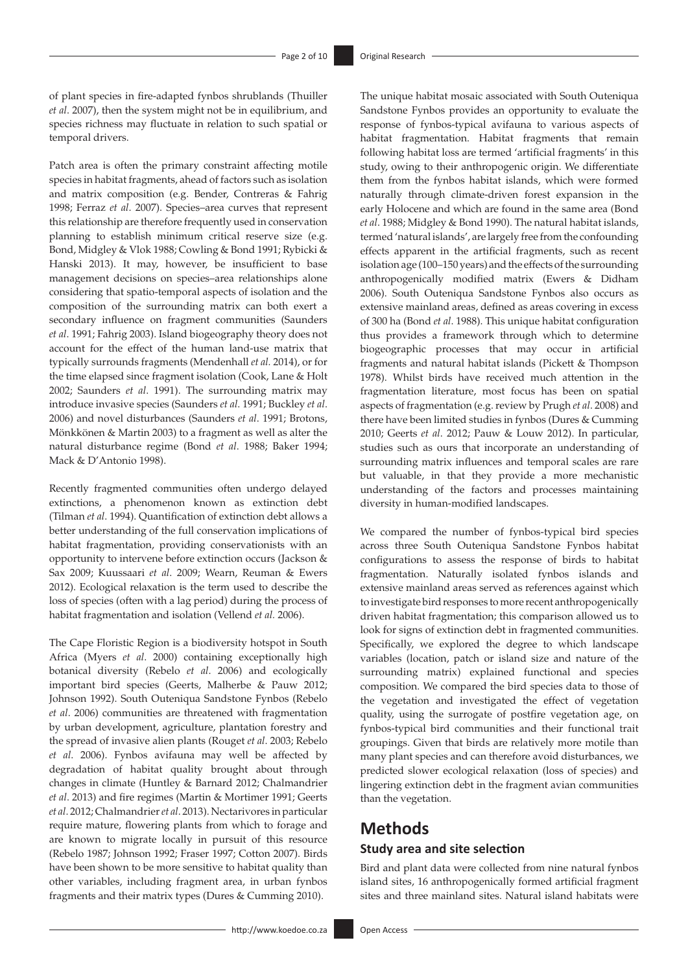of plant species in fire-adapted fynbos shrublands (Thuiller *et al*. 2007), then the system might not be in equilibrium, and species richness may fluctuate in relation to such spatial or temporal drivers.

Patch area is often the primary constraint affecting motile species in habitat fragments, ahead of factors such as isolation and matrix composition (e.g. Bender, Contreras & Fahrig 1998; Ferraz *et al*. 2007). Species–area curves that represent this relationship are therefore frequently used in conservation planning to establish minimum critical reserve size (e.g. Bond, Midgley & Vlok 1988; Cowling & Bond 1991; Rybicki & Hanski 2013). It may, however, be insufficient to base management decisions on species–area relationships alone considering that spatio-temporal aspects of isolation and the composition of the surrounding matrix can both exert a secondary influence on fragment communities (Saunders *et al*. 1991; Fahrig 2003). Island biogeography theory does not account for the effect of the human land-use matrix that typically surrounds fragments (Mendenhall *et al.* 2014), or for the time elapsed since fragment isolation (Cook, Lane & Holt 2002; Saunders *et al*. 1991). The surrounding matrix may introduce invasive species (Saunders *et al*. 1991; Buckley *et al*. 2006) and novel disturbances (Saunders *et al*. 1991; Brotons, Mönkkönen & Martin 2003) to a fragment as well as alter the natural disturbance regime (Bond *et al*. 1988; Baker 1994; Mack & D'Antonio 1998).

Recently fragmented communities often undergo delayed extinctions, a phenomenon known as extinction debt (Tilman *et al*. 1994). Quantification of extinction debt allows a better understanding of the full conservation implications of habitat fragmentation, providing conservationists with an opportunity to intervene before extinction occurs (Jackson & Sax 2009; Kuussaari *et al*. 2009; Wearn, Reuman & Ewers 2012). Ecological relaxation is the term used to describe the loss of species (often with a lag period) during the process of habitat fragmentation and isolation (Vellend *et al.* 2006).

The Cape Floristic Region is a biodiversity hotspot in South Africa (Myers *et al*. 2000) containing exceptionally high botanical diversity (Rebelo *et al*. 2006) and ecologically important bird species (Geerts, Malherbe & Pauw 2012; Johnson 1992). South Outeniqua Sandstone Fynbos (Rebelo *et al*. 2006) communities are threatened with fragmentation by urban development, agriculture, plantation forestry and the spread of invasive alien plants (Rouget *et al*. 2003; Rebelo *et al*. 2006). Fynbos avifauna may well be affected by degradation of habitat quality brought about through changes in climate (Huntley & Barnard 2012; Chalmandrier *et al*. 2013) and fire regimes (Martin & Mortimer 1991; Geerts *et al*. 2012; Chalmandrier *et al*. 2013). Nectarivores in particular require mature, flowering plants from which to forage and are known to migrate locally in pursuit of this resource (Rebelo 1987; Johnson 1992; Fraser 1997; Cotton 2007). Birds have been shown to be more sensitive to habitat quality than other variables, including fragment area, in urban fynbos fragments and their matrix types (Dures & Cumming 2010).

The unique habitat mosaic associated with South Outeniqua Sandstone Fynbos provides an opportunity to evaluate the response of fynbos-typical avifauna to various aspects of habitat fragmentation. Habitat fragments that remain following habitat loss are termed 'artificial fragments' in this study, owing to their anthropogenic origin. We differentiate them from the fynbos habitat islands, which were formed naturally through climate-driven forest expansion in the early Holocene and which are found in the same area (Bond *et al*. 1988; Midgley & Bond 1990). The natural habitat islands, termed 'natural islands', are largely free from the confounding effects apparent in the artificial fragments, such as recent isolation age (100–150 years) and the effects of the surrounding anthropogenically modified matrix (Ewers & Didham 2006). South Outeniqua Sandstone Fynbos also occurs as extensive mainland areas, defined as areas covering in excess of 300 ha (Bond *et al*. 1988). This unique habitat configuration thus provides a framework through which to determine biogeographic processes that may occur in artificial fragments and natural habitat islands (Pickett & Thompson 1978). Whilst birds have received much attention in the fragmentation literature, most focus has been on spatial aspects of fragmentation (e.g. review by Prugh *et al*. 2008) and there have been limited studies in fynbos (Dures & Cumming 2010; Geerts *et al*. 2012; Pauw & Louw 2012). In particular, studies such as ours that incorporate an understanding of surrounding matrix influences and temporal scales are rare but valuable, in that they provide a more mechanistic understanding of the factors and processes maintaining diversity in human-modified landscapes.

We compared the number of fynbos-typical bird species across three South Outeniqua Sandstone Fynbos habitat configurations to assess the response of birds to habitat fragmentation. Naturally isolated fynbos islands and extensive mainland areas served as references against which to investigate bird responses to more recent anthropogenically driven habitat fragmentation; this comparison allowed us to look for signs of extinction debt in fragmented communities. Specifically, we explored the degree to which landscape variables (location, patch or island size and nature of the surrounding matrix) explained functional and species composition. We compared the bird species data to those of the vegetation and investigated the effect of vegetation quality, using the surrogate of postfire vegetation age, on fynbos-typical bird communities and their functional trait groupings. Given that birds are relatively more motile than many plant species and can therefore avoid disturbances, we predicted slower ecological relaxation (loss of species) and lingering extinction debt in the fragment avian communities than the vegetation.

# **Methods**

### **Study area and site selection**

Bird and plant data were collected from nine natural fynbos island sites, 16 anthropogenically formed artificial fragment sites and three mainland sites. Natural island habitats were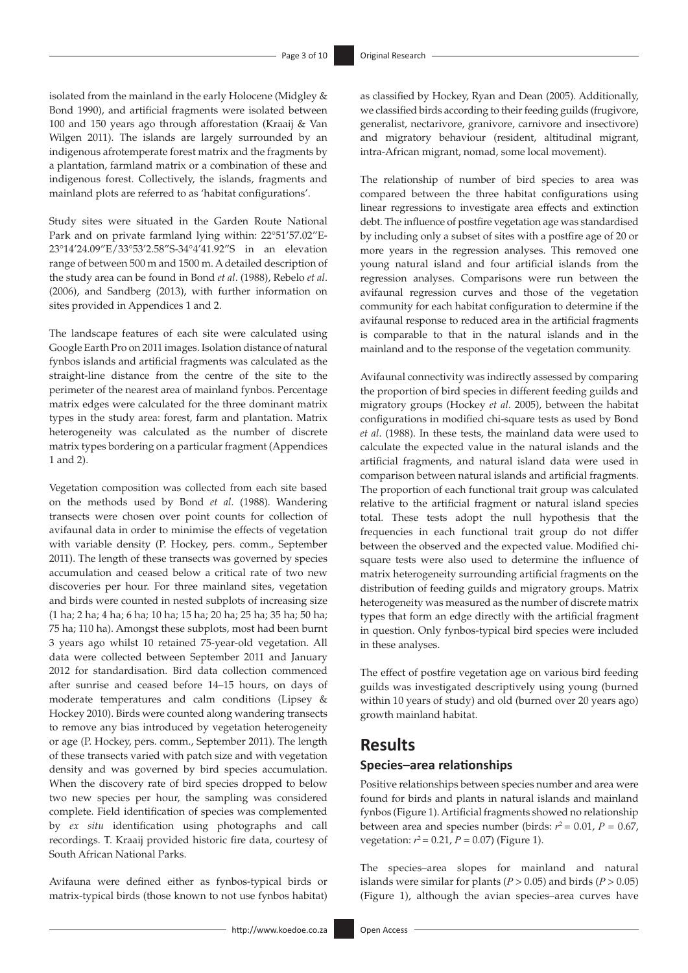isolated from the mainland in the early Holocene (Midgley & Bond 1990), and artificial fragments were isolated between 100 and 150 years ago through afforestation (Kraaij & Van Wilgen 2011). The islands are largely surrounded by an indigenous afrotemperate forest matrix and the fragments by a plantation, farmland matrix or a combination of these and indigenous forest. Collectively, the islands, fragments and mainland plots are referred to as 'habitat configurations'.

Study sites were situated in the Garden Route National Park and on private farmland lying within: 22°51'57.02"E-23°14'24.09"E/33°53'2.58"S-34°4'41.92"S in an elevation range of between 500 m and 1500 m. A detailed description of the study area can be found in Bond *et al*. (1988), Rebelo *et al*. (2006), and Sandberg (2013), with further information on sites provided in Appendices 1 and 2.

The landscape features of each site were calculated using Google Earth Pro on 2011 images. Isolation distance of natural fynbos islands and artificial fragments was calculated as the straight-line distance from the centre of the site to the perimeter of the nearest area of mainland fynbos. Percentage matrix edges were calculated for the three dominant matrix types in the study area: forest, farm and plantation. Matrix heterogeneity was calculated as the number of discrete matrix types bordering on a particular fragment (Appendices 1 and 2).

Vegetation composition was collected from each site based on the methods used by Bond *et al*. (1988). Wandering transects were chosen over point counts for collection of avifaunal data in order to minimise the effects of vegetation with variable density (P. Hockey, pers. comm., September 2011). The length of these transects was governed by species accumulation and ceased below a critical rate of two new discoveries per hour. For three mainland sites, vegetation and birds were counted in nested subplots of increasing size (1 ha; 2 ha; 4 ha; 6 ha; 10 ha; 15 ha; 20 ha; 25 ha; 35 ha; 50 ha; 75 ha; 110 ha). Amongst these subplots, most had been burnt 3 years ago whilst 10 retained 75-year-old vegetation. All data were collected between September 2011 and January 2012 for standardisation. Bird data collection commenced after sunrise and ceased before 14–15 hours, on days of moderate temperatures and calm conditions (Lipsey & Hockey 2010). Birds were counted along wandering transects to remove any bias introduced by vegetation heterogeneity or age (P. Hockey, pers. comm., September 2011). The length of these transects varied with patch size and with vegetation density and was governed by bird species accumulation. When the discovery rate of bird species dropped to below two new species per hour, the sampling was considered complete. Field identification of species was complemented by *ex situ* identification using photographs and call recordings. T. Kraaij provided historic fire data, courtesy of South African National Parks.

Avifauna were defined either as fynbos-typical birds or matrix-typical birds (those known to not use fynbos habitat) as classified by Hockey, Ryan and Dean (2005). Additionally, we classified birds according to their feeding guilds (frugivore, generalist, nectarivore, granivore, carnivore and insectivore) and migratory behaviour (resident, altitudinal migrant, intra-African migrant, nomad, some local movement).

The relationship of number of bird species to area was compared between the three habitat configurations using linear regressions to investigate area effects and extinction debt. The influence of postfire vegetation age was standardised by including only a subset of sites with a postfire age of 20 or more years in the regression analyses. This removed one young natural island and four artificial islands from the regression analyses. Comparisons were run between the avifaunal regression curves and those of the vegetation community for each habitat configuration to determine if the avifaunal response to reduced area in the artificial fragments is comparable to that in the natural islands and in the mainland and to the response of the vegetation community.

Avifaunal connectivity was indirectly assessed by comparing the proportion of bird species in different feeding guilds and migratory groups (Hockey *et al*. 2005), between the habitat configurations in modified chi-square tests as used by Bond *et al*. (1988). In these tests, the mainland data were used to calculate the expected value in the natural islands and the artificial fragments, and natural island data were used in comparison between natural islands and artificial fragments. The proportion of each functional trait group was calculated relative to the artificial fragment or natural island species total. These tests adopt the null hypothesis that the frequencies in each functional trait group do not differ between the observed and the expected value. Modified chisquare tests were also used to determine the influence of matrix heterogeneity surrounding artificial fragments on the distribution of feeding guilds and migratory groups. Matrix heterogeneity was measured as the number of discrete matrix types that form an edge directly with the artificial fragment in question. Only fynbos-typical bird species were included in these analyses.

The effect of postfire vegetation age on various bird feeding guilds was investigated descriptively using young (burned within 10 years of study) and old (burned over 20 years ago) growth mainland habitat.

### **Results**

### **Species–area relationships**

Positive relationships between species number and area were found for birds and plants in natural islands and mainland fynbos (Figure 1). Artificial fragments showed no relationship between area and species number (birds:  $r^2 = 0.01$ ,  $P = 0.67$ , vegetation:  $r^2 = 0.21$ ,  $P = 0.07$ ) (Figure 1).

The species–area slopes for mainland and natural islands were similar for plants ( $P > 0.05$ ) and birds ( $P > 0.05$ ) (Figure 1), although the avian species–area curves have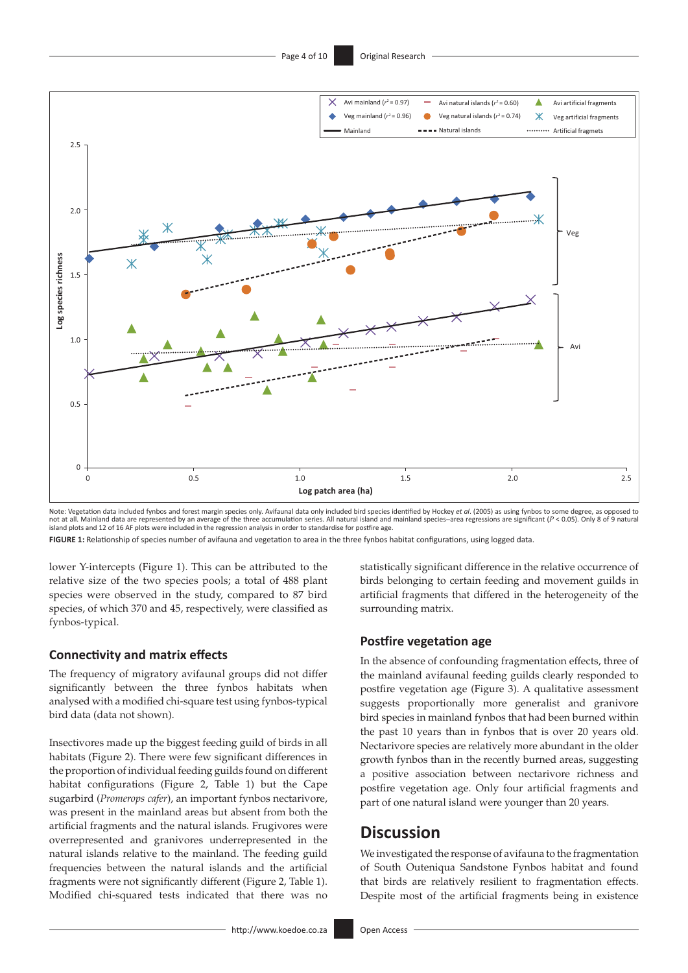

Note: Vegetation data included fynbos and forest margin species only. Avifaunal data only included bird species identified by Hockey *et al*. (2005) as using fynbos to some degree, as opposed to not at all. Mainland data are represented by an average of the three accumulation series. All natural island and mainland species-area regressions are significant (*P* < 0.05). Only 8 of 9 natural island plots and 12 of 16 AF plots were included in the regression analysis in order to standardise for postfire age.

**FIGURE 1:** Relationship of species number of avifauna and vegetation to area in the three fynbos habitat configurations, using logged data.

lower Y-intercepts (Figure 1). This can be attributed to the relative size of the two species pools; a total of 488 plant species were observed in the study, compared to 87 bird species, of which 370 and 45, respectively, were classified as fynbos-typical.

#### **Connectivity and matrix effects**

The frequency of migratory avifaunal groups did not differ significantly between the three fynbos habitats when analysed with a modified chi-square test using fynbos-typical bird data (data not shown).

Insectivores made up the biggest feeding guild of birds in all habitats (Figure 2). There were few significant differences in the proportion of individual feeding guilds found on different habitat configurations (Figure 2, Table 1) but the Cape sugarbird (*Promerops cafer*), an important fynbos nectarivore, was present in the mainland areas but absent from both the artificial fragments and the natural islands. Frugivores were overrepresented and granivores underrepresented in the natural islands relative to the mainland. The feeding guild frequencies between the natural islands and the artificial fragments were not significantly different (Figure 2, Table 1). Modified chi-squared tests indicated that there was no

statistically significant difference in the relative occurrence of birds belonging to certain feeding and movement guilds in artificial fragments that differed in the heterogeneity of the surrounding matrix.

### **Postfire vegetation age**

In the absence of confounding fragmentation effects, three of the mainland avifaunal feeding guilds clearly responded to postfire vegetation age (Figure 3). A qualitative assessment suggests proportionally more generalist and granivore bird species in mainland fynbos that had been burned within the past 10 years than in fynbos that is over 20 years old. Nectarivore species are relatively more abundant in the older growth fynbos than in the recently burned areas, suggesting a positive association between nectarivore richness and postfire vegetation age. Only four artificial fragments and part of one natural island were younger than 20 years.

## **Discussion**

We investigated the response of avifauna to the fragmentation of South Outeniqua Sandstone Fynbos habitat and found that birds are relatively resilient to fragmentation effects. Despite most of the artificial fragments being in existence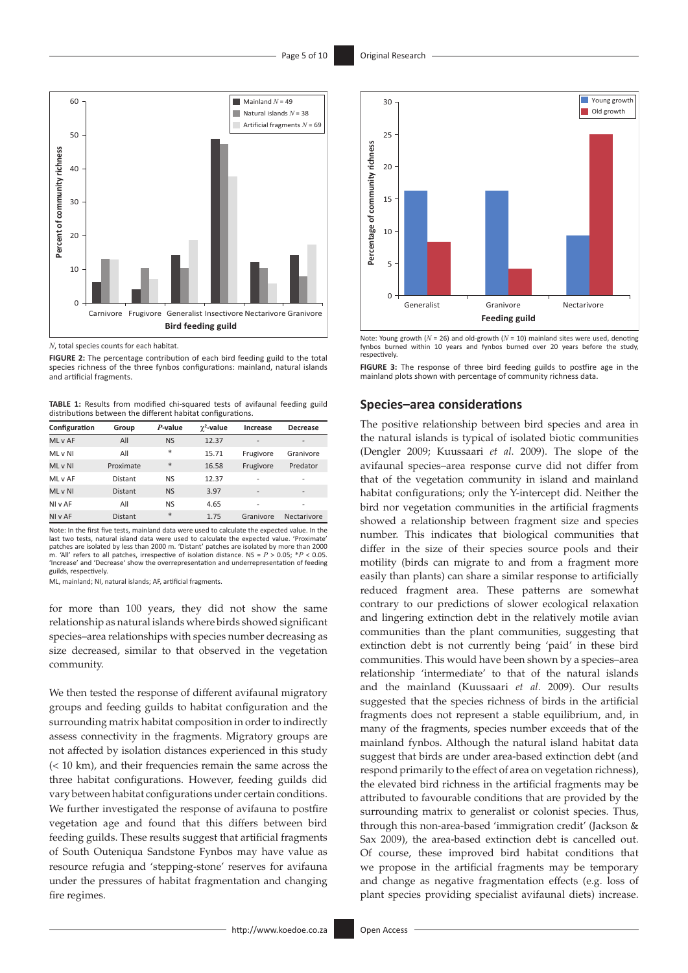

*N*, total species counts for each habitat.

**FIGURE 2:** The percentage contribution of each bird feeding guild to the total species richness of the three fynbos configurations: mainland, natural islands and artificial fragments.

**TABLE 1:** Results from modified chi-squared tests of avifaunal feeding guild distributions between the different habitat configurations.

| Configuration | Group          | P-value   | $\gamma^2$ -value | Increase                 | <b>Decrease</b>          |
|---------------|----------------|-----------|-------------------|--------------------------|--------------------------|
| ML v AF       | All            | <b>NS</b> | 12.37             | $\overline{\phantom{a}}$ | -                        |
| ML v NI       | All            | *         | 15.71             | Frugivore                | Granivore                |
| ML v NI       | Proximate      | $\ast$    | 16.58             | Frugivore                | Predator                 |
| ML v AF       | Distant        | <b>NS</b> | 12.37             | $\overline{a}$           | ۰                        |
| ML v NI       | <b>Distant</b> | <b>NS</b> | 3.97              | $\overline{\phantom{a}}$ | $\overline{\phantom{0}}$ |
| NI v AF       | All            | <b>NS</b> | 4.65              | $\overline{\phantom{a}}$ | $\overline{\phantom{0}}$ |
| NI v AF       | <b>Distant</b> | *         | 1.75              | Granivore                | Nectarivore              |

Note: In the first five tests, mainland data were used to calculate the expected value. In the last two tests, natural island data were used to calculate the expected value. 'Proximate patches are isolated by less than 2000 m. 'Distant' patches are isolated by more than 2000 m. 'All' refers to all patches, irrespective of isolation distance. NS = *P* > 0.05; \**P* < 0.05. 'Increase' and 'Decrease' show the overrepresentation and underrepresentation of feeding guilds, respectively.

ML, mainland; NI, natural islands; AF, artificial fragments.

for more than 100 years, they did not show the same relationship as natural islands where birds showed significant species–area relationships with species number decreasing as size decreased, similar to that observed in the vegetation community.

We then tested the response of different avifaunal migratory groups and feeding guilds to habitat configuration and the surrounding matrix habitat composition in order to indirectly assess connectivity in the fragments. Migratory groups are not affected by isolation distances experienced in this study (< 10 km), and their frequencies remain the same across the three habitat configurations. However, feeding guilds did vary between habitat configurations under certain conditions. We further investigated the response of avifauna to postfire vegetation age and found that this differs between bird feeding guilds. These results suggest that artificial fragments of South Outeniqua Sandstone Fynbos may have value as resource refugia and 'stepping-stone' reserves for avifauna under the pressures of habitat fragmentation and changing fire regimes.



Note: Young growth (*N* = 26) and old-growth (*N* = 10) mainland sites were used, denoting fynbos burned within 10 years and fynbos burned over 20 years before the study, respectively.

**FIGURE 3:** The response of three bird feeding guilds to postfire age in the mainland plots shown with percentage of community richness data.

#### **Species–area considerations**

The positive relationship between bird species and area in the natural islands is typical of isolated biotic communities (Dengler 2009; Kuussaari *et al*. 2009). The slope of the avifaunal species–area response curve did not differ from that of the vegetation community in island and mainland habitat configurations; only the Y-intercept did. Neither the bird nor vegetation communities in the artificial fragments showed a relationship between fragment size and species number. This indicates that biological communities that differ in the size of their species source pools and their motility (birds can migrate to and from a fragment more easily than plants) can share a similar response to artificially reduced fragment area. These patterns are somewhat contrary to our predictions of slower ecological relaxation and lingering extinction debt in the relatively motile avian communities than the plant communities, suggesting that extinction debt is not currently being 'paid' in these bird communities. This would have been shown by a species–area relationship 'intermediate' to that of the natural islands and the mainland (Kuussaari *et al*. 2009). Our results suggested that the species richness of birds in the artificial fragments does not represent a stable equilibrium, and, in many of the fragments, species number exceeds that of the mainland fynbos. Although the natural island habitat data suggest that birds are under area-based extinction debt (and respond primarily to the effect of area on vegetation richness), the elevated bird richness in the artificial fragments may be attributed to favourable conditions that are provided by the surrounding matrix to generalist or colonist species. Thus, through this non-area-based 'immigration credit' (Jackson & Sax 2009), the area-based extinction debt is cancelled out. Of course, these improved bird habitat conditions that we propose in the artificial fragments may be temporary and change as negative fragmentation effects (e.g. loss of plant species providing specialist avifaunal diets) increase.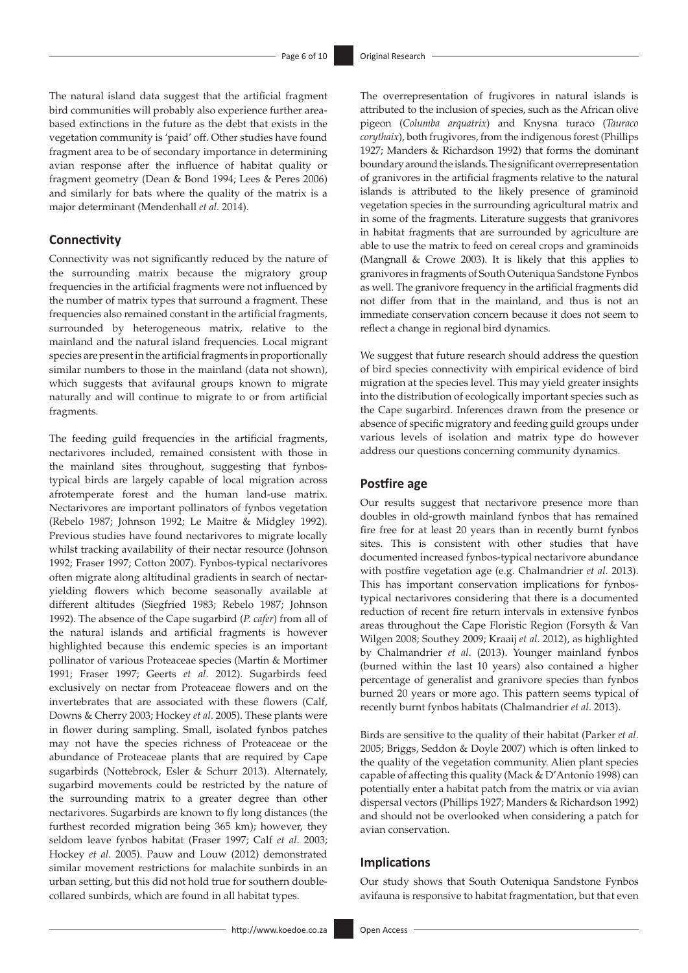The natural island data suggest that the artificial fragment bird communities will probably also experience further areabased extinctions in the future as the debt that exists in the vegetation community is 'paid' off. Other studies have found fragment area to be of secondary importance in determining avian response after the influence of habitat quality or fragment geometry (Dean & Bond 1994; Lees & Peres 2006) and similarly for bats where the quality of the matrix is a major determinant (Mendenhall *et al.* 2014).

### **Connectivity**

Connectivity was not significantly reduced by the nature of the surrounding matrix because the migratory group frequencies in the artificial fragments were not influenced by the number of matrix types that surround a fragment. These frequencies also remained constant in the artificial fragments, surrounded by heterogeneous matrix, relative to the mainland and the natural island frequencies. Local migrant species are present in the artificial fragments in proportionally similar numbers to those in the mainland (data not shown), which suggests that avifaunal groups known to migrate naturally and will continue to migrate to or from artificial fragments.

The feeding guild frequencies in the artificial fragments, nectarivores included, remained consistent with those in the mainland sites throughout, suggesting that fynbostypical birds are largely capable of local migration across afrotemperate forest and the human land-use matrix. Nectarivores are important pollinators of fynbos vegetation (Rebelo 1987; Johnson 1992; Le Maitre & Midgley 1992). Previous studies have found nectarivores to migrate locally whilst tracking availability of their nectar resource (Johnson 1992; Fraser 1997; Cotton 2007). Fynbos-typical nectarivores often migrate along altitudinal gradients in search of nectaryielding flowers which become seasonally available at different altitudes (Siegfried 1983; Rebelo 1987; Johnson 1992). The absence of the Cape sugarbird (*P. cafer*) from all of the natural islands and artificial fragments is however highlighted because this endemic species is an important pollinator of various Proteaceae species (Martin & Mortimer 1991; Fraser 1997; Geerts *et al*. 2012). Sugarbirds feed exclusively on nectar from Proteaceae flowers and on the invertebrates that are associated with these flowers (Calf, Downs & Cherry 2003; Hockey *et al*. 2005). These plants were in flower during sampling. Small, isolated fynbos patches may not have the species richness of Proteaceae or the abundance of Proteaceae plants that are required by Cape sugarbirds (Nottebrock, Esler & Schurr 2013). Alternately, sugarbird movements could be restricted by the nature of the surrounding matrix to a greater degree than other nectarivores. Sugarbirds are known to fly long distances (the furthest recorded migration being 365 km); however, they seldom leave fynbos habitat (Fraser 1997; Calf *et al*. 2003; Hockey *et al*. 2005). Pauw and Louw (2012) demonstrated similar movement restrictions for malachite sunbirds in an urban setting, but this did not hold true for southern doublecollared sunbirds, which are found in all habitat types.

The overrepresentation of frugivores in natural islands is attributed to the inclusion of species, such as the African olive pigeon (*Columba arquatrix*) and Knysna turaco (*Tauraco corythaix*), both frugivores, from the indigenous forest (Phillips 1927; Manders & Richardson 1992) that forms the dominant boundary around the islands. The significant overrepresentation of granivores in the artificial fragments relative to the natural islands is attributed to the likely presence of graminoid vegetation species in the surrounding agricultural matrix and in some of the fragments. Literature suggests that granivores in habitat fragments that are surrounded by agriculture are able to use the matrix to feed on cereal crops and graminoids (Mangnall & Crowe 2003). It is likely that this applies to granivores in fragments of South Outeniqua Sandstone Fynbos as well. The granivore frequency in the artificial fragments did not differ from that in the mainland, and thus is not an immediate conservation concern because it does not seem to reflect a change in regional bird dynamics.

We suggest that future research should address the question of bird species connectivity with empirical evidence of bird migration at the species level. This may yield greater insights into the distribution of ecologically important species such as the Cape sugarbird. Inferences drawn from the presence or absence of specific migratory and feeding guild groups under various levels of isolation and matrix type do however address our questions concerning community dynamics.

#### **Postfire age**

Our results suggest that nectarivore presence more than doubles in old-growth mainland fynbos that has remained fire free for at least 20 years than in recently burnt fynbos sites. This is consistent with other studies that have documented increased fynbos-typical nectarivore abundance with postfire vegetation age (e.g. Chalmandrier *et al*. 2013). This has important conservation implications for fynbostypical nectarivores considering that there is a documented reduction of recent fire return intervals in extensive fynbos areas throughout the Cape Floristic Region (Forsyth & Van Wilgen 2008; Southey 2009; Kraaij *et al*. 2012), as highlighted by Chalmandrier *et al*. (2013). Younger mainland fynbos (burned within the last 10 years) also contained a higher percentage of generalist and granivore species than fynbos burned 20 years or more ago. This pattern seems typical of recently burnt fynbos habitats (Chalmandrier *et al*. 2013).

Birds are sensitive to the quality of their habitat (Parker *et al*. 2005; Briggs, Seddon & Doyle 2007) which is often linked to the quality of the vegetation community. Alien plant species capable of affecting this quality (Mack & D'Antonio 1998) can potentially enter a habitat patch from the matrix or via avian dispersal vectors (Phillips 1927; Manders & Richardson 1992) and should not be overlooked when considering a patch for avian conservation.

### **Implications**

Our study shows that South Outeniqua Sandstone Fynbos avifauna is responsive to habitat fragmentation, but that even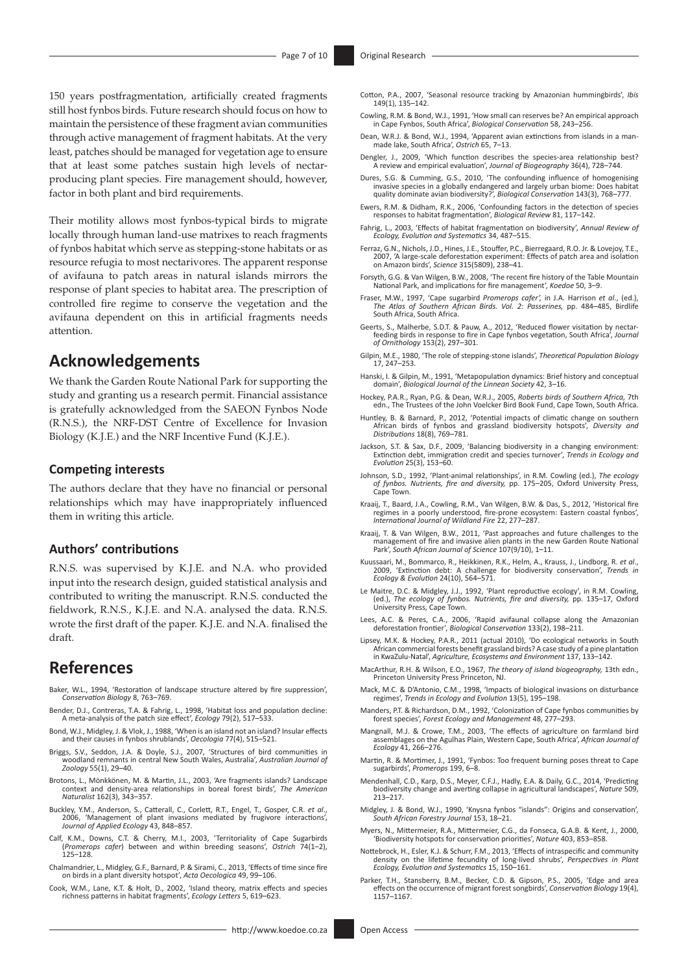150 years postfragmentation, artificially created fragments still host fynbos birds. Future research should focus on how to maintain the persistence of these fragment avian communities through active management of fragment habitats. At the very least, patches should be managed for vegetation age to ensure that at least some patches sustain high levels of nectarproducing plant species. Fire management should, however, factor in both plant and bird requirements.

Their motility allows most fynbos-typical birds to migrate locally through human land-use matrixes to reach fragments of fynbos habitat which serve as stepping-stone habitats or as resource refugia to most nectarivores. The apparent response of avifauna to patch areas in natural islands mirrors the response of plant species to habitat area. The prescription of controlled fire regime to conserve the vegetation and the avifauna dependent on this in artificial fragments needs attention.

# **Acknowledgements**

We thank the Garden Route National Park for supporting the study and granting us a research permit. Financial assistance is gratefully acknowledged from the SAEON Fynbos Node (R.N.S.), the NRF-DST Centre of Excellence for Invasion Biology (K.J.E.) and the NRF Incentive Fund (K.J.E.).

#### **Competing interests**

The authors declare that they have no financial or personal relationships which may have inappropriately influenced them in writing this article.

### **Authors' contributions**

R.N.S. was supervised by K.J.E. and N.A. who provided input into the research design, guided statistical analysis and contributed to writing the manuscript. R.N.S. conducted the fieldwork, R.N.S., K.J.E. and N.A. analysed the data. R.N.S. wrote the first draft of the paper. K.J.E. and N.A. finalised the draft.

# **References**

- Baker, W.L., 1994, 'Restoration of landscape structure altered by fire suppression', *Conservation Biology* 8, 763–769.
- Bender, D.J., Contreras, T.A. & Fahrig, L., 1998, 'Habitat loss and population decline: A meta-analysis of the patch size effect', *Ecology* 79(2), 517–533.
- Bond, W.J., Midgley, J. & Vlok, J., 1988, 'When is an island not an island? Insular effects and their causes in fynbos shrublands', *Oecologia* 77(4), 515–521.
- Briggs, S.V., Seddon, J.A. & Doyle, S.J., 2007, 'Structures of bird communities in woodland remnants in central New South Wales, Australia', *Australian Journal of Zoology* 55(1), 29–40.
- Brotons, L., Mönkkönen, M. & Martin, J.L., 2003, 'Are fragments islands? Landscape context and density-area relationships in boreal forest birds', *The American Naturalist* 162(3), 343–357.
- Buckley, Y.M., Anderson, S., Catterall, C., Corlett, R.T., Engel, T., Gosper, C.R. *et al*., 2006, 'Management of plant invasions mediated by frugivore interactions', *Journal of Applied Ecology* 43, 848–857.
- Calf, K.M., Downs, C.T. & Cherry, M.I., 2003, 'Territoriality of Cape Sugarbirds (*Promerops cafer*) between and within breeding seasons', *Ostrich* 74(1–2),  $125 - 128$ .
- Chalmandrier, L., Midgley, G.F., Barnard, P. & Sirami, C., 2013, 'Effects of time since fire on birds in a plant diversity hotspot', *Acta Oecologica* 49, 99–106.
- Cook, W.M., Lane, K.T. & Holt, D., 2002, 'Island theory, matrix effects and species richness patterns in habitat fragments', *Ecology Letters* 5, 619–623.
- Cotton, P.A., 2007, 'Seasonal resource tracking by Amazonian hummingbirds', *Ibis*  $149(1)$ , 135–142.
- Cowling, R.M. & Bond, W.J., 1991, 'How small can reserves be? An empirical approach in Cape Fynbos, South Africa', *Biological Conservation* 58, 243–256.
- Dean, W.R.J. & Bond, W.J., 1994, 'Apparent avian extinctions from islands in a manmade lake, South Africa', *Ostrich* 65, 7–13.
- Dengler, J., 2009, 'Which function describes the species-area relationship best? A review and empirical evaluation', *Journal of Biogeography* 36(4), 728–744.
- Dures, S.G. & Cumming, G.S., 2010, 'The confounding influence of homogenising invasive species in a globally endangered and largely urban biome: Does habitat quality dominate avian biodiversity?', *Biological Conservation* 143(3), 768–777.
- Ewers, R.M. & Didham, R.K., 2006, 'Confounding factors in the detection of species responses to habitat fragmentation', *Biological Review* 81, 117–142.
- Fahrig, L., 2003, 'Effects of habitat fragmentation on biodiversity', *Annual Review of Ecology, Evolution and Systematics* 34, 487–515.
- Ferraz, G.N., Nichols, J.D., Hines, J.E., Stouffer, P.C., Bierregaard, R.O. Jr. & Lovejoy, T.E., 2007, 'A large-scale deforestation experiment: Effects of patch area and isolation on Amazon birds', *Science* 315(5809), 238–41.
- Forsyth, G.G. & Van Wilgen, B.W., 2008, 'The recent fire history of the Table Mountain National Park, and implications for fire management', *Koedoe* 50, 3–9.
- Fraser, M.W., 1997, 'Cape sugarbird *Promerops cafer'*, in J.A. Harrison et al., *The Atlas of Southern African Birds. Vol. 2: Passerines,* pp. 484–485, Birdlife South Africa, South Africa.
- Geerts, S., Malherbe, S.D.T. & Pauw, A., 2012, 'Reduced flower visitation by nectarfeeding birds in response to fire in Cape fynbos vegetation, South Africa', *Journal of Ornithology* 153(2), 297–301.
- Gilpin, M.E., 1980, 'The role of stepping-stone islands', *Theoretical Population Biology* 17, 247–253.
- Hanski, I. & Gilpin, M., 1991, 'Metapopulation dynamics: Brief history and conceptual domain', *Biological Journal of the Linnean Society* 42, 3–16.
- Hockey, P.A.R., Ryan, P.G. & Dean, W.R.J., 2005, *Roberts birds of Southern Africa,* 7th edn., The Trustees of the John Voelcker Bird Book Fund, Cape Town, South Africa.
- Huntley, B. & Barnard, P., 2012, 'Potential impacts of climatic change on southern African birds of fynbos and grassland biodiversity hotspots', *Diversity and Distributions* 18(8), 769–781.
- Jackson, S.T. & Sax, D.F., 2009, 'Balancing biodiversity in a changing environment: Extinction debt, immigration credit and species turnover', *Trends in Ecology and Evolution* 25(3), 153–60.
- Johnson, S.D., 1992, 'Plant-animal relationships', in R.M. Cowling (ed.), *The ecology of fynbos. Nutrients, fire and diversity,* pp. 175–205, Oxford University Press, Cape Town.
- Kraaij, T., Baard, J.A., Cowling, R.M., Van Wilgen, B.W. & Das, S., 2012, 'Historical fire regimes in a poorly understood, fire-prone ecosystem: Eastern coastal fynbos', *International Journal of Wildland Fire* 22, 277–287.
- Kraaij, T. & Van Wilgen, B.W., 2011, 'Past approaches and future challenges to the management of fire and invasive alien plants in the new Garden Route National Park', *South African Journal of Science* 107(9/10), 1–11.
- Kuussaari, M., Bommarco, R., Heikkinen, R.K., Helm, A., Krauss, J., Lindborg, R. *et al*., 2009, 'Extinction debt: A challenge for biodiversity conservation', *Trends in Ecology & Evolution* 24(10), 564–571.
- Le Maitre, D.C. & Midgley, J.J., 1992, 'Plant reproductive ecology', in R.M. Cowling, (ed.), *The ecology of fynbos. Nutrients, fire and diversity,* pp. 135–17, Oxford University Press, Cape Town.
- Lees, A.C. & Peres, C.A., 2006, 'Rapid avifaunal collapse along the Amazonian deforestation frontier', *Biological Conservation* 133(2), 198–211.
- Lipsey, M.K. & Hockey, P.A.R., 2011 (actual 2010), 'Do ecological networks in South African commercial forests benefit grassland birds? A case study of a pine plantation in KwaZulu-Natal', *Agriculture, Ecosystems and Environment* 137, 133–142.
- MacArthur, R.H. & Wilson, E.O., 1967, *The theory of island biogeography,* 13th edn., Princeton University Press Princeton, NJ.
- Mack, M.C. & D'Antonio, C.M., 1998, 'Impacts of biological invasions on disturbance regimes', *Trends in Ecology and Evolution* 13(5), 195–198.
- Manders, P.T. & Richardson, D.M., 1992, 'Colonization of Cape fynbos communities by forest species', *Forest Ecology and Management* 48, 277–293.
- Mangnall, M.J. & Crowe, T.M., 2003, 'The effects of agriculture on farmland bird assemblages on the Agulhas Plain, Western Cape, South Africa', *African Journal of Ecology* 41, 266–276.
- Martin, R. & Mortimer, J., 1991, 'Fynbos: Too frequent burning poses threat to Cape sugarbirds', *Promerops* 199, 6–8.
- Mendenhall, C.D., Karp, D.S., Meyer, C.F.J., Hadly, E.A. & Daily, G.C., 2014, 'Predicting biodiversity change and averting collapse in agricultural landscapes', *Nature* 509, 213–217.
- Midgley, J. & Bond, W.J., 1990, 'Knysna fynbos "islands": Origins and conservation', *South African Forestry Journal* 153, 18–21.
- Myers, N., Mittermeier, R.A., Mittermeier, C.G., da Fonseca, G.A.B. & Kent, J., 2000, 'Biodiversity hotspots for conservation priorities', *Nature* 403, 853–858.
- Nottebrock, H., Esler, K.J. & Schurr, F.M., 2013, 'Effects of intraspecific and community density on the lifetime fecundity of long-lived shrubs', *Perspectives in Plant Ecology, Evolution and Systematics* 15, 150–161.
- Parker, T.H., Stansberry, B.M., Becker, C.D. & Gipson, P.S., 2005, 'Edge and area effects on the occurrence of migrant forest songbirds', *Conservation Biology* 19(4), 1157–1167.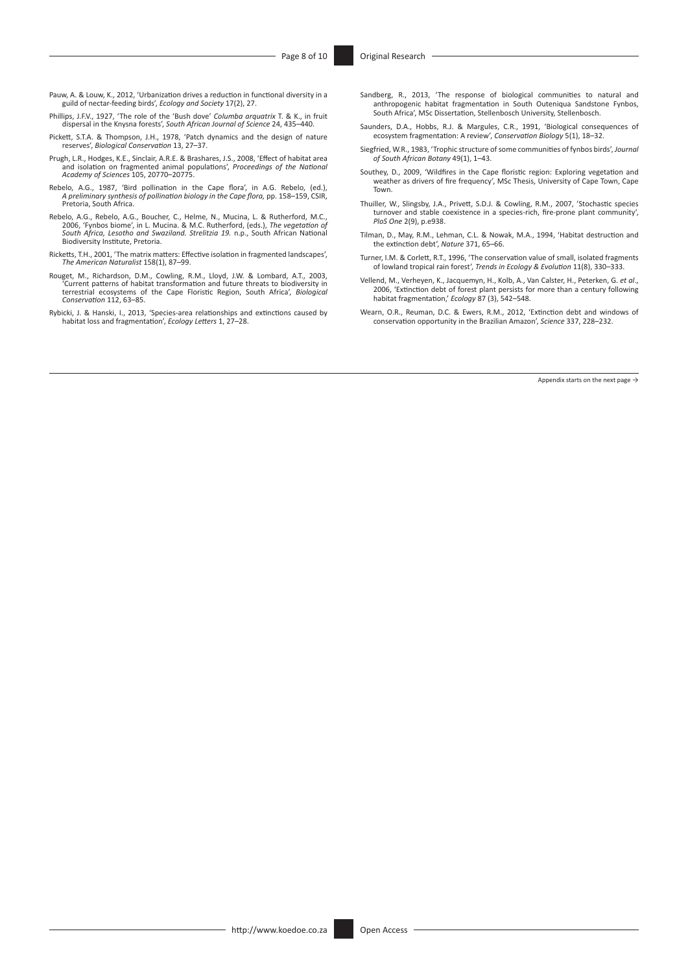- Pauw, A. & Louw, K., 2012, 'Urbanization drives a reduction in functional diversity in a guild of nectar-feeding birds', *Ecology and Society* 17(2), 27.
- Phillips, J.F.V., 1927, 'The role of the 'Bush dove' *Columba arquatrix* T. & K., in fruit dispersal in the Knysna forests', *South African Journal of Science* 24, 435–440.
- Pickett, S.T.A. & Thompson, J.H., 1978, 'Patch dynamics and the design of nature reserves', *Biological Conservation* 13, 27–37.
- Prugh, L.R., Hodges, K.E., Sinclair, A.R.E. & Brashares, J.S., 2008, 'Effect of habitat area and isolation on fragmented animal populations', *Proceedings of the National Academy of Sciences* 105, 20770–20775.
- Rebelo, A.G., 1987, 'Bird pollination in the Cape flora', in A.G. Rebelo, (ed.), *A preliminary synthesis of pollination biology in the Cape flora,* pp. 158–159, CSIR, Pretoria, South Africa.
- ,Rebelo, A.G., Rebelo, A.G., Boucher, C., Helme, N., Mucina, L. & Rutherford, M.C<br>2006, 'Fynbos biome', in L. Mucina. & M.C. Rutherford, (eds.), *The vegetation of*<br>2001: South Africa, Lesotho and Swaziland. Strelitzia 19. Biodiversity Institute, Pretoria.
- Ricketts, T.H., 2001, 'The matrix matters: Effective isolation in fragmented landscapes', *The American Naturalist* 158(1), 87–99.
- Rouget, M., Richardson, D.M., Cowling, R.M., Lloyd, J.W. & Lombard, A.T., 2003, 'Current patterns of habitat transformation and future threats to biodiversity in terrestrial ecosystems of the Cape Floristic Region, South Africa', *Biological Conservation* 112, 63–85.
- Rybicki, J. & Hanski, I., 2013, 'Species-area relationships and extinctions caused by habitat loss and fragmentation', *Ecology Letters* 1, 27–28.
- Sandberg, R., 2013, 'The response of biological communities to natural and anthropogenic habitat fragmentation in South Outeniqua Sandstone Fynbos, South Africa', MSc Dissertation, Stellenbosch University, Stellenbosch.
- Saunders, D.A., Hobbs, R.J. & Margules, C.R., 1991, 'Biological consequences of ecosystem fragmentation: A review', *Conservation Biology* 5(1), 18–32.
- Siegfried, W.R., 1983, 'Trophic structure of some communities of fynbos birds', *Journal of South African Botany* 49(1), 1–43.
- Southey, D., 2009, 'Wildfires in the Cape floristic region: Exploring vegetation and weather as drivers of fire frequency', MSc Thesis, University of Cape Town, Cape Town.
- Thuiller, W., Slingsby, J.A., Privett, S.D.J. & Cowling, R.M., 2007, 'Stochastic species turnover and stable coexistence in a species-rich, fire-prone plant community', *PloS One* 2(9), p.e938.
- Tilman, D., May, R.M., Lehman, C.L. & Nowak, M.A., 1994, 'Habitat destruction and the extinction debt', *Nature* 371, 65–66.
- Turner, I.M. & Corlett, R.T., 1996, 'The conservation value of small, isolated fragments of lowland tropical rain forest', *Trends in Ecology & Evolution* 11(8), 330–333.
- Vellend, M., Verheyen, K., Jacquemyn, H., Kolb, A., Van Calster, H., Peterken, G. *et al*., 2006, 'Extinction debt of forest plant persists for more than a century following habitat fragmentation,' *Ecology* 87 (3), 542–548.
- Wearn, O.R., Reuman, D.C. & Ewers, R.M., 2012, 'Extinction debt and windows of conservation opportunity in the Brazilian Amazon', *Science* 337, 228–232.

Appendix starts on the next page  $\rightarrow$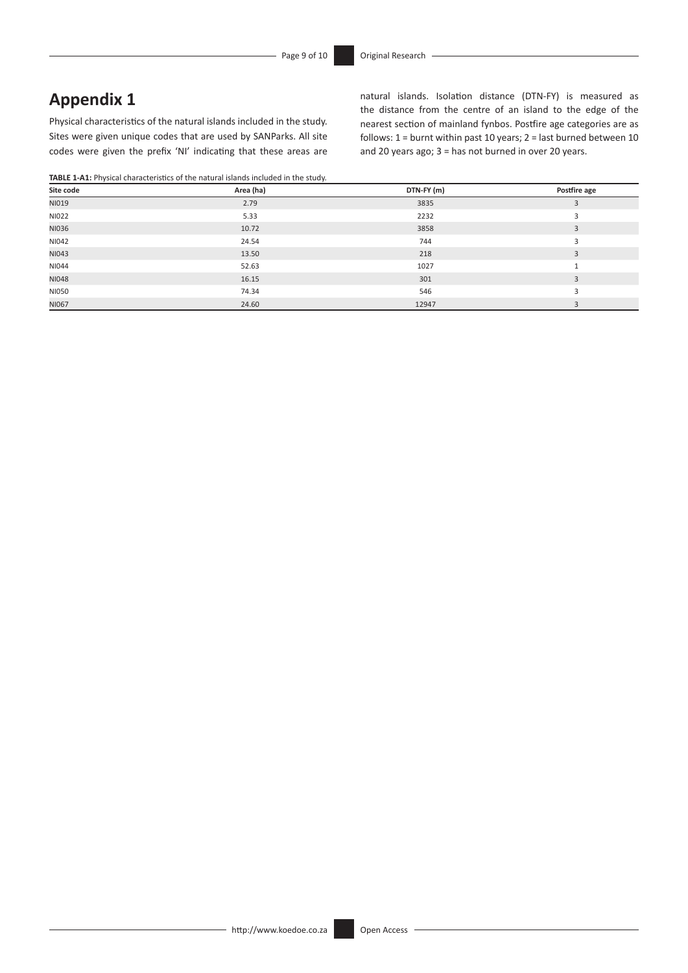# **Appendix 1**

Physical characteristics of the natural islands included in the study. Sites were given unique codes that are used by SANParks. All site codes were given the prefix 'NI' indicating that these areas are

**TABLE 1-A1:** Physical characteristics of the natural islands included in the study.

natural islands. Isolation distance (DTN-FY) is measured as the distance from the centre of an island to the edge of the nearest section of mainland fynbos. Postfire age categories are as follows:  $1 =$  burnt within past 10 years;  $2 =$  last burned between 10 and 20 years ago; 3 = has not burned in over 20 years.

| $\sim$ $\sim$<br>Site code | Area (ha) | DTN-FY (m) | Postfire age |
|----------------------------|-----------|------------|--------------|
| NI019                      | 2.79      | 3835       | 3            |
| NI022                      | 5.33      | 2232       |              |
| NI036                      | 10.72     | 3858       | 3            |
| NI042                      | 24.54     | 744        |              |
| NI043                      | 13.50     | 218        | 3            |
| NI044                      | 52.63     | 1027       |              |
| NI048                      | 16.15     | 301        | 3            |
| NI050                      | 74.34     | 546        |              |
| NI067                      | 24.60     | 12947      |              |